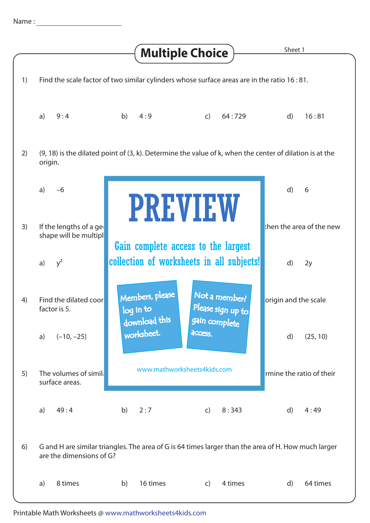